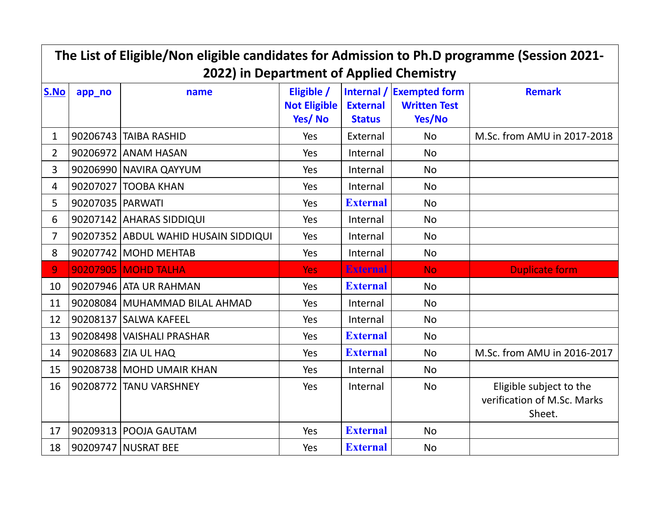| The List of Eligible/Non eligible candidates for Admission to Ph.D programme (Session 2021-<br>2022) in Department of Applied Chemistry |                    |                                      |                                      |                                  |                                                           |                                                                  |  |  |
|-----------------------------------------------------------------------------------------------------------------------------------------|--------------------|--------------------------------------|--------------------------------------|----------------------------------|-----------------------------------------------------------|------------------------------------------------------------------|--|--|
| S.No                                                                                                                                    | app_no             | name                                 | Eligible /<br>Not Eligible<br>Yes/No | <b>External</b><br><b>Status</b> | Internal / Exempted form<br><b>Written Test</b><br>Yes/No | <b>Remark</b>                                                    |  |  |
| $\mathbf{1}$                                                                                                                            |                    | 90206743 TAIBA RASHID                | Yes                                  | External                         | <b>No</b>                                                 | M.Sc. from AMU in 2017-2018                                      |  |  |
| $\overline{2}$                                                                                                                          |                    | 90206972 ANAM HASAN                  | Yes                                  | Internal                         | <b>No</b>                                                 |                                                                  |  |  |
| 3                                                                                                                                       |                    | 90206990 NAVIRA QAYYUM               | Yes                                  | Internal                         | <b>No</b>                                                 |                                                                  |  |  |
| 4                                                                                                                                       |                    | 90207027 TOOBA KHAN                  | Yes                                  | Internal                         | <b>No</b>                                                 |                                                                  |  |  |
| 5                                                                                                                                       | 90207035   PARWATI |                                      | Yes                                  | <b>External</b>                  | <b>No</b>                                                 |                                                                  |  |  |
| 6                                                                                                                                       |                    | 90207142 AHARAS SIDDIQUI             | Yes                                  | Internal                         | <b>No</b>                                                 |                                                                  |  |  |
| $\overline{7}$                                                                                                                          |                    | 90207352 ABDUL WAHID HUSAIN SIDDIQUI | Yes                                  | Internal                         | <b>No</b>                                                 |                                                                  |  |  |
| 8                                                                                                                                       |                    | 90207742 MOHD MEHTAB                 | Yes                                  | Internal                         | <b>No</b>                                                 |                                                                  |  |  |
| 9                                                                                                                                       |                    | 90207905 MOHD TALHA                  | <b>Yes</b>                           | <b>External</b>                  | <b>No</b>                                                 | <b>Duplicate form</b>                                            |  |  |
| 10                                                                                                                                      |                    | 90207946 ATA UR RAHMAN               | Yes                                  | <b>External</b>                  | <b>No</b>                                                 |                                                                  |  |  |
| 11                                                                                                                                      |                    | 90208084 MUHAMMAD BILAL AHMAD        | Yes                                  | Internal                         | <b>No</b>                                                 |                                                                  |  |  |
| 12                                                                                                                                      |                    | 90208137 SALWA KAFEEL                | Yes                                  | Internal                         | <b>No</b>                                                 |                                                                  |  |  |
| 13                                                                                                                                      |                    | 90208498 VAISHALI PRASHAR            | Yes                                  | <b>External</b>                  | <b>No</b>                                                 |                                                                  |  |  |
| 14                                                                                                                                      |                    | 90208683 ZIA UL HAQ                  | Yes                                  | <b>External</b>                  | <b>No</b>                                                 | M.Sc. from AMU in 2016-2017                                      |  |  |
| 15                                                                                                                                      |                    | 90208738 MOHD UMAIR KHAN             | Yes                                  | Internal                         | <b>No</b>                                                 |                                                                  |  |  |
| 16                                                                                                                                      |                    | 90208772 TANU VARSHNEY               | Yes                                  | Internal                         | <b>No</b>                                                 | Eligible subject to the<br>verification of M.Sc. Marks<br>Sheet. |  |  |
| 17                                                                                                                                      |                    | 90209313 POOJA GAUTAM                | Yes                                  | <b>External</b>                  | <b>No</b>                                                 |                                                                  |  |  |
| 18                                                                                                                                      |                    | 90209747 NUSRAT BEE                  | Yes                                  | <b>External</b>                  | <b>No</b>                                                 |                                                                  |  |  |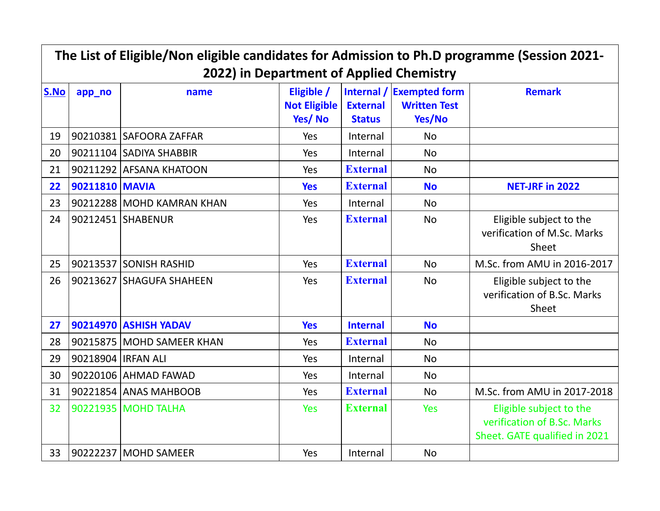| The List of Eligible/Non eligible candidates for Admission to Ph.D programme (Session 2021-<br>2022) in Department of Applied Chemistry |                      |                              |                                             |                                  |                                                           |                                                                                         |  |  |
|-----------------------------------------------------------------------------------------------------------------------------------------|----------------------|------------------------------|---------------------------------------------|----------------------------------|-----------------------------------------------------------|-----------------------------------------------------------------------------------------|--|--|
| S.No                                                                                                                                    | app_no               | name                         | Eligible /<br><b>Not Eligible</b><br>Yes/No | <b>External</b><br><b>Status</b> | Internal / Exempted form<br><b>Written Test</b><br>Yes/No | <b>Remark</b>                                                                           |  |  |
| 19                                                                                                                                      |                      | 90210381 SAFOORA ZAFFAR      | Yes                                         | Internal                         | <b>No</b>                                                 |                                                                                         |  |  |
| 20                                                                                                                                      |                      | 90211104 SADIYA SHABBIR      | Yes                                         | Internal                         | <b>No</b>                                                 |                                                                                         |  |  |
| 21                                                                                                                                      |                      | 90211292 AFSANA KHATOON      | Yes                                         | <b>External</b>                  | <b>No</b>                                                 |                                                                                         |  |  |
| 22                                                                                                                                      | 90211810 MAVIA       |                              | <b>Yes</b>                                  | <b>External</b>                  | <b>No</b>                                                 | <b>NET-JRF in 2022</b>                                                                  |  |  |
| 23                                                                                                                                      |                      | 90212288 MOHD KAMRAN KHAN    | Yes                                         | Internal                         | <b>No</b>                                                 |                                                                                         |  |  |
| 24                                                                                                                                      |                      | 90212451 SHABENUR            | Yes                                         | <b>External</b>                  | <b>No</b>                                                 | Eligible subject to the<br>verification of M.Sc. Marks<br>Sheet                         |  |  |
| 25                                                                                                                                      |                      | 90213537 SONISH RASHID       | Yes                                         | <b>External</b>                  | <b>No</b>                                                 | M.Sc. from AMU in 2016-2017                                                             |  |  |
| 26                                                                                                                                      |                      | 90213627 SHAGUFA SHAHEEN     | Yes                                         | <b>External</b>                  | <b>No</b>                                                 | Eligible subject to the<br>verification of B.Sc. Marks<br>Sheet                         |  |  |
| 27                                                                                                                                      |                      | <b>90214970 ASHISH YADAV</b> | <b>Yes</b>                                  | <b>Internal</b>                  | <b>No</b>                                                 |                                                                                         |  |  |
| 28                                                                                                                                      |                      | 90215875 MOHD SAMEER KHAN    | Yes                                         | <b>External</b>                  | <b>No</b>                                                 |                                                                                         |  |  |
| 29                                                                                                                                      | 90218904   IRFAN ALI |                              | Yes                                         | Internal                         | <b>No</b>                                                 |                                                                                         |  |  |
| 30                                                                                                                                      |                      | 90220106 AHMAD FAWAD         | Yes                                         | Internal                         | <b>No</b>                                                 |                                                                                         |  |  |
| 31                                                                                                                                      |                      | 90221854 ANAS MAHBOOB        | Yes                                         | <b>External</b>                  | <b>No</b>                                                 | M.Sc. from AMU in 2017-2018                                                             |  |  |
| 32                                                                                                                                      |                      | 90221935 MOHD TALHA          | <b>Yes</b>                                  | <b>External</b>                  | <b>Yes</b>                                                | Eligible subject to the<br>verification of B.Sc. Marks<br>Sheet. GATE qualified in 2021 |  |  |
| 33                                                                                                                                      |                      | 90222237 MOHD SAMEER         | Yes                                         | Internal                         | <b>No</b>                                                 |                                                                                         |  |  |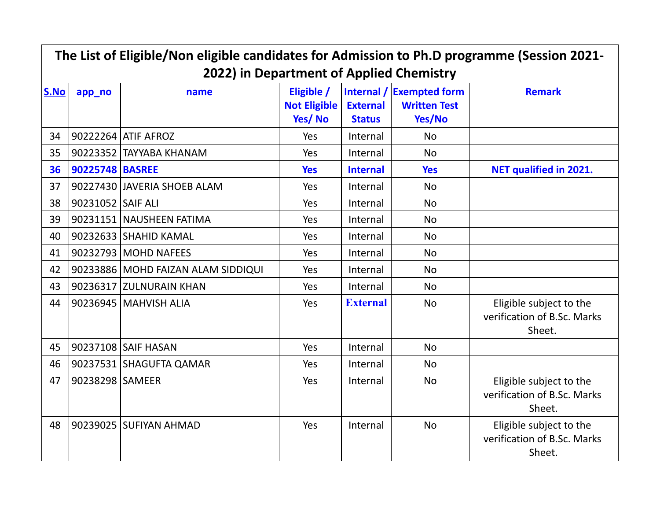| The List of Eligible/Non eligible candidates for Admission to Ph.D programme (Session 2021-<br>2022) in Department of Applied Chemistry |                   |                                    |                                             |                                  |                                                           |                                                                  |  |  |
|-----------------------------------------------------------------------------------------------------------------------------------------|-------------------|------------------------------------|---------------------------------------------|----------------------------------|-----------------------------------------------------------|------------------------------------------------------------------|--|--|
| S.No                                                                                                                                    | app_no            | name                               | Eligible /<br><b>Not Eligible</b><br>Yes/No | <b>External</b><br><b>Status</b> | Internal / Exempted form<br><b>Written Test</b><br>Yes/No | <b>Remark</b>                                                    |  |  |
| 34                                                                                                                                      |                   | 90222264 ATIF AFROZ                | Yes                                         | Internal                         | <b>No</b>                                                 |                                                                  |  |  |
| 35                                                                                                                                      |                   | 90223352 TAYYABA KHANAM            | Yes                                         | Internal                         | <b>No</b>                                                 |                                                                  |  |  |
| 36                                                                                                                                      | 90225748 BASREE   |                                    | <b>Yes</b>                                  | <b>Internal</b>                  | <b>Yes</b>                                                | <b>NET qualified in 2021.</b>                                    |  |  |
| 37                                                                                                                                      |                   | 90227430 JAVERIA SHOEB ALAM        | Yes                                         | Internal                         | <b>No</b>                                                 |                                                                  |  |  |
| 38                                                                                                                                      | 90231052 SAIF ALI |                                    | Yes                                         | Internal                         | <b>No</b>                                                 |                                                                  |  |  |
| 39                                                                                                                                      |                   | 90231151 NAUSHEEN FATIMA           | Yes                                         | Internal                         | <b>No</b>                                                 |                                                                  |  |  |
| 40                                                                                                                                      |                   | 90232633 SHAHID KAMAL              | Yes                                         | Internal                         | <b>No</b>                                                 |                                                                  |  |  |
| 41                                                                                                                                      |                   | 90232793 MOHD NAFEES               | Yes                                         | Internal                         | <b>No</b>                                                 |                                                                  |  |  |
| 42                                                                                                                                      |                   | 90233886 MOHD FAIZAN ALAM SIDDIQUI | Yes                                         | Internal                         | <b>No</b>                                                 |                                                                  |  |  |
| 43                                                                                                                                      |                   | 90236317 ZULNURAIN KHAN            | Yes                                         | Internal                         | <b>No</b>                                                 |                                                                  |  |  |
| 44                                                                                                                                      |                   | 90236945 MAHVISH ALIA              | Yes                                         | <b>External</b>                  | <b>No</b>                                                 | Eligible subject to the<br>verification of B.Sc. Marks<br>Sheet. |  |  |
| 45                                                                                                                                      |                   | 90237108 SAIF HASAN                | Yes                                         | Internal                         | <b>No</b>                                                 |                                                                  |  |  |
| 46                                                                                                                                      |                   | 90237531 SHAGUFTA QAMAR            | Yes                                         | Internal                         | <b>No</b>                                                 |                                                                  |  |  |
| 47                                                                                                                                      | 90238298 SAMEER   |                                    | Yes                                         | Internal                         | <b>No</b>                                                 | Eligible subject to the<br>verification of B.Sc. Marks<br>Sheet. |  |  |
| 48                                                                                                                                      |                   | 90239025 SUFIYAN AHMAD             | Yes                                         | Internal                         | <b>No</b>                                                 | Eligible subject to the<br>verification of B.Sc. Marks<br>Sheet. |  |  |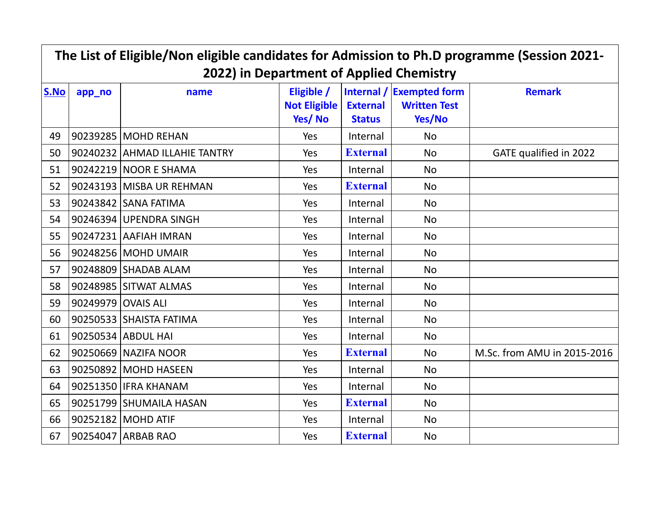| The List of Eligible/Non eligible candidates for Admission to Ph.D programme (Session 2021- |                    |                                                  |                                      |                                  |                                                           |                             |  |  |
|---------------------------------------------------------------------------------------------|--------------------|--------------------------------------------------|--------------------------------------|----------------------------------|-----------------------------------------------------------|-----------------------------|--|--|
| S.No                                                                                        | app_no             | 2022) in Department of Applied Chemistry<br>name | Eligible /<br>Not Eligible<br>Yes/No | <b>External</b><br><b>Status</b> | Internal / Exempted form<br><b>Written Test</b><br>Yes/No | <b>Remark</b>               |  |  |
| 49                                                                                          |                    | 90239285 MOHD REHAN                              | Yes                                  | Internal                         | <b>No</b>                                                 |                             |  |  |
| 50                                                                                          |                    | 90240232 AHMAD ILLAHIE TANTRY                    | Yes                                  | <b>External</b>                  | <b>No</b>                                                 | GATE qualified in 2022      |  |  |
| 51                                                                                          |                    | 90242219 NOOR E SHAMA                            | Yes                                  | Internal                         | <b>No</b>                                                 |                             |  |  |
| 52                                                                                          |                    | 90243193 MISBA UR REHMAN                         | Yes                                  | <b>External</b>                  | <b>No</b>                                                 |                             |  |  |
| 53                                                                                          |                    | 90243842 SANA FATIMA                             | Yes                                  | Internal                         | <b>No</b>                                                 |                             |  |  |
| 54                                                                                          |                    | 90246394 UPENDRA SINGH                           | Yes                                  | Internal                         | <b>No</b>                                                 |                             |  |  |
| 55                                                                                          |                    | 90247231 AAFIAH IMRAN                            | Yes                                  | Internal                         | <b>No</b>                                                 |                             |  |  |
| 56                                                                                          |                    | 90248256 MOHD UMAIR                              | Yes                                  | Internal                         | <b>No</b>                                                 |                             |  |  |
| 57                                                                                          |                    | 90248809 SHADAB ALAM                             | Yes                                  | Internal                         | <b>No</b>                                                 |                             |  |  |
| 58                                                                                          |                    | 90248985 SITWAT ALMAS                            | Yes                                  | Internal                         | <b>No</b>                                                 |                             |  |  |
| 59                                                                                          | 90249979 OVAIS ALI |                                                  | Yes                                  | Internal                         | <b>No</b>                                                 |                             |  |  |
| 60                                                                                          |                    | 90250533 SHAISTA FATIMA                          | Yes                                  | Internal                         | <b>No</b>                                                 |                             |  |  |
| 61                                                                                          |                    | 90250534 ABDUL HAI                               | Yes                                  | Internal                         | <b>No</b>                                                 |                             |  |  |
| 62                                                                                          |                    | 90250669 NAZIFA NOOR                             | Yes                                  | <b>External</b>                  | <b>No</b>                                                 | M.Sc. from AMU in 2015-2016 |  |  |
| 63                                                                                          |                    | 90250892 MOHD HASEEN                             | Yes                                  | Internal                         | <b>No</b>                                                 |                             |  |  |
| 64                                                                                          |                    | 90251350 IFRA KHANAM                             | Yes                                  | Internal                         | <b>No</b>                                                 |                             |  |  |
| 65                                                                                          |                    | 90251799 SHUMAILA HASAN                          | Yes                                  | <b>External</b>                  | <b>No</b>                                                 |                             |  |  |
| 66                                                                                          |                    | 90252182 MOHD ATIF                               | Yes                                  | Internal                         | <b>No</b>                                                 |                             |  |  |
| 67                                                                                          |                    | 90254047 ARBAB RAO                               | Yes                                  | <b>External</b>                  | No                                                        |                             |  |  |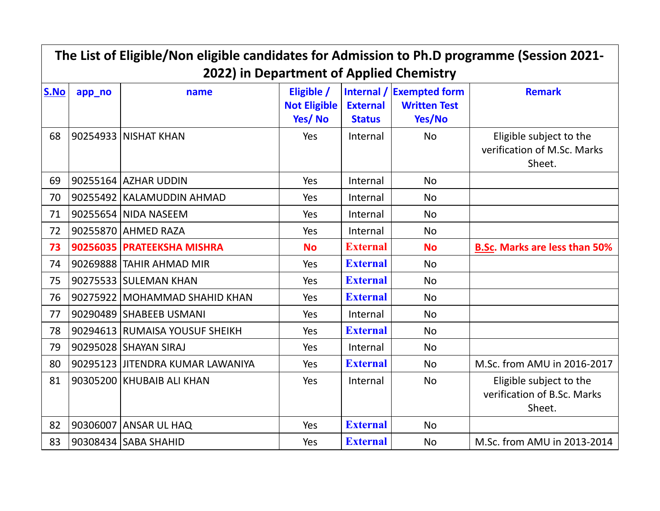| The List of Eligible/Non eligible candidates for Admission to Ph.D programme (Session 2021-<br>2022) in Department of Applied Chemistry |        |                                  |                                             |                                  |                                                           |                                                                  |  |  |
|-----------------------------------------------------------------------------------------------------------------------------------------|--------|----------------------------------|---------------------------------------------|----------------------------------|-----------------------------------------------------------|------------------------------------------------------------------|--|--|
| S.No                                                                                                                                    | app_no | name                             | Eligible /<br><b>Not Eligible</b><br>Yes/No | <b>External</b><br><b>Status</b> | Internal / Exempted form<br><b>Written Test</b><br>Yes/No | <b>Remark</b>                                                    |  |  |
| 68                                                                                                                                      |        | 90254933 NISHAT KHAN             | Yes                                         | Internal                         | <b>No</b>                                                 | Eligible subject to the<br>verification of M.Sc. Marks<br>Sheet. |  |  |
| 69                                                                                                                                      |        | 90255164 AZHAR UDDIN             | Yes                                         | Internal                         | <b>No</b>                                                 |                                                                  |  |  |
| 70                                                                                                                                      |        | 90255492 KALAMUDDIN AHMAD        | Yes                                         | Internal                         | <b>No</b>                                                 |                                                                  |  |  |
| 71                                                                                                                                      |        | 90255654 NIDA NASEEM             | Yes                                         | Internal                         | <b>No</b>                                                 |                                                                  |  |  |
| 72                                                                                                                                      |        | 90255870 AHMED RAZA              | Yes                                         | Internal                         | <b>No</b>                                                 |                                                                  |  |  |
| 73                                                                                                                                      |        | 90256035 PRATEEKSHA MISHRA       | <b>No</b>                                   | <b>External</b>                  | <b>No</b>                                                 | <b>B.Sc. Marks are less than 50%</b>                             |  |  |
| 74                                                                                                                                      |        | 90269888 TAHIR AHMAD MIR         | Yes                                         | <b>External</b>                  | <b>No</b>                                                 |                                                                  |  |  |
| 75                                                                                                                                      |        | 90275533 SULEMAN KHAN            | Yes                                         | <b>External</b>                  | <b>No</b>                                                 |                                                                  |  |  |
| 76                                                                                                                                      |        | 90275922 MOHAMMAD SHAHID KHAN    | Yes                                         | <b>External</b>                  | <b>No</b>                                                 |                                                                  |  |  |
| 77                                                                                                                                      |        | 90290489 SHABEEB USMANI          | Yes                                         | Internal                         | <b>No</b>                                                 |                                                                  |  |  |
| 78                                                                                                                                      |        | 90294613 RUMAISA YOUSUF SHEIKH   | Yes                                         | <b>External</b>                  | <b>No</b>                                                 |                                                                  |  |  |
| 79                                                                                                                                      |        | 90295028 SHAYAN SIRAJ            | Yes                                         | Internal                         | <b>No</b>                                                 |                                                                  |  |  |
| 80                                                                                                                                      |        | 90295123 JITENDRA KUMAR LAWANIYA | Yes                                         | <b>External</b>                  | <b>No</b>                                                 | M.Sc. from AMU in 2016-2017                                      |  |  |
| 81                                                                                                                                      |        | 90305200 KHUBAIB ALI KHAN        | Yes                                         | Internal                         | <b>No</b>                                                 | Eligible subject to the<br>verification of B.Sc. Marks<br>Sheet. |  |  |
| 82                                                                                                                                      |        | 90306007 ANSAR UL HAQ            | Yes                                         | <b>External</b>                  | <b>No</b>                                                 |                                                                  |  |  |
| 83                                                                                                                                      |        | 90308434 SABA SHAHID             | Yes                                         | <b>External</b>                  | <b>No</b>                                                 | M.Sc. from AMU in 2013-2014                                      |  |  |